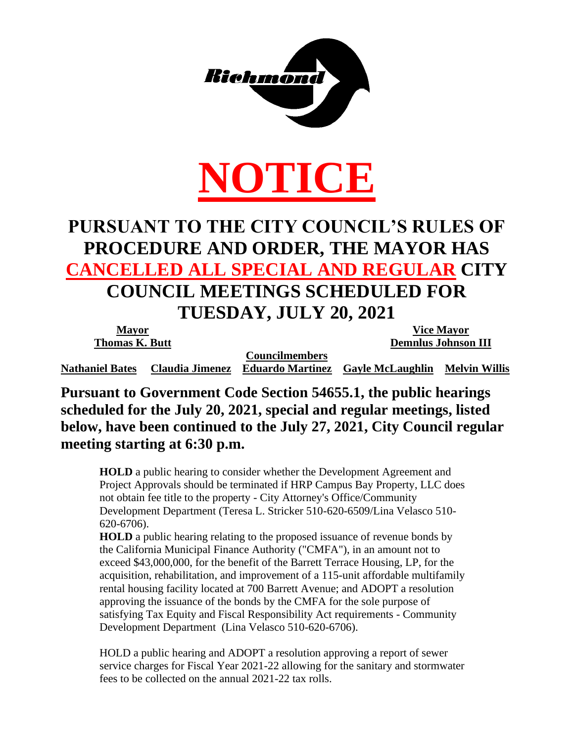

# **NOTICE**

## **PURSUANT TO THE CITY COUNCIL'S RULES OF PROCEDURE AND ORDER, THE MAYOR HAS CANCELLED ALL SPECIAL AND REGULAR CITY COUNCIL MEETINGS SCHEDULED FOR TUESDAY, JULY 20, 2021**

| <b>Mayor</b>           |                        |                         | <b>Vice Mayor</b>          |               |
|------------------------|------------------------|-------------------------|----------------------------|---------------|
| <b>Thomas K. Butt</b>  |                        |                         | <b>Demnlus Johnson III</b> |               |
|                        |                        | <b>Councilmembers</b>   |                            |               |
| <b>Nathaniel Bates</b> | <b>Claudia Jimenez</b> | <b>Eduardo Martinez</b> | <b>Gayle McLaughlin</b>    | Melvin Willis |

**Pursuant to Government Code Section 54655.1, the public hearings scheduled for the July 20, 2021, special and regular meetings, listed below, have been continued to the July 27, 2021, City Council regular meeting starting at 6:30 p.m.**

**HOLD** a public hearing to consider whether the Development Agreement and Project Approvals should be terminated if HRP Campus Bay Property, LLC does not obtain fee title to the property - City Attorney's Office/Community Development Department (Teresa L. Stricker 510-620-6509/Lina Velasco 510- 620-6706).

**HOLD** a public hearing relating to the proposed issuance of revenue bonds by the California Municipal Finance Authority ("CMFA"), in an amount not to exceed \$43,000,000, for the benefit of the Barrett Terrace Housing, LP, for the acquisition, rehabilitation, and improvement of a 115-unit affordable multifamily rental housing facility located at 700 Barrett Avenue; and ADOPT a resolution approving the issuance of the bonds by the CMFA for the sole purpose of satisfying Tax Equity and Fiscal Responsibility Act requirements - Community Development Department (Lina Velasco 510-620-6706).

HOLD a public hearing and ADOPT a resolution approving a report of sewer service charges for Fiscal Year 2021-22 allowing for the sanitary and stormwater fees to be collected on the annual 2021-22 tax rolls.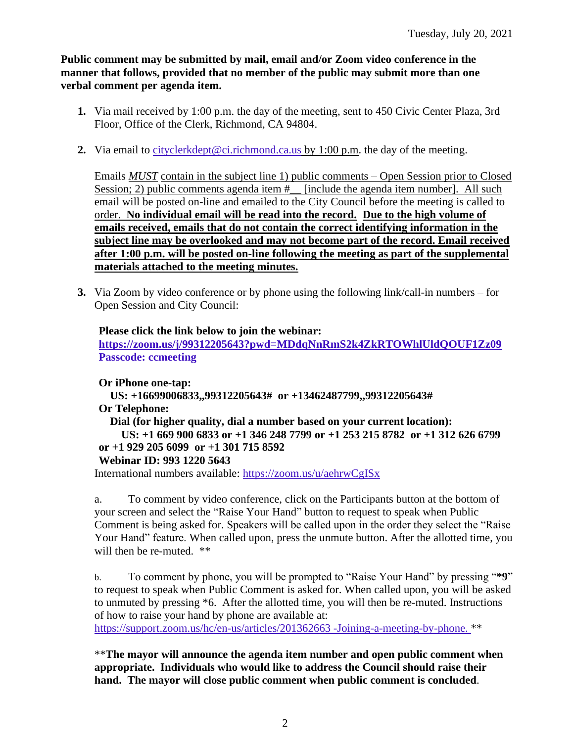**Public comment may be submitted by mail, email and/or Zoom video conference in the manner that follows, provided that no member of the public may submit more than one verbal comment per agenda item.** 

- **1.** Via mail received by 1:00 p.m. the day of the meeting, sent to 450 Civic Center Plaza, 3rd Floor, Office of the Clerk, Richmond, CA 94804.
- **2.** Via email to [cityclerkdept@ci.richmond.ca.us](mailto:cityclerkdept@ci.richmond.ca.us) by 1:00 p.m. the day of the meeting.

Emails *MUST* contain in the subject line 1) public comments – Open Session prior to Closed Session; 2) public comments agenda item  $#$  [include the agenda item number]. All such email will be posted on-line and emailed to the City Council before the meeting is called to order. **No individual email will be read into the record. Due to the high volume of emails received, emails that do not contain the correct identifying information in the subject line may be overlooked and may not become part of the record. Email received after 1:00 p.m. will be posted on-line following the meeting as part of the supplemental materials attached to the meeting minutes.**

**3.** Via Zoom by video conference or by phone using the following link/call-in numbers – for Open Session and City Council:

**Please click the link below to join the webinar: <https://zoom.us/j/99312205643?pwd=MDdqNnRmS2k4ZkRTOWhlUldQOUF1Zz09>**

**Passcode: ccmeeting**

**Or iPhone one-tap: US: +16699006833,,99312205643# or +13462487799,,99312205643# Or Telephone: Dial (for higher quality, dial a number based on your current location): US: +1 669 900 6833 or +1 346 248 7799 or +1 253 215 8782 or +1 312 626 6799 or +1 929 205 6099 or +1 301 715 8592 Webinar ID: 993 1220 5643** International numbers available: <https://zoom.us/u/aehrwCgISx>

a. To comment by video conference, click on the Participants button at the bottom of your screen and select the "Raise Your Hand" button to request to speak when Public Comment is being asked for. Speakers will be called upon in the order they select the "Raise Your Hand" feature. When called upon, press the unmute button. After the allotted time, you will then be re-muted. \*\*

b. To comment by phone, you will be prompted to "Raise Your Hand" by pressing "**\*9**" to request to speak when Public Comment is asked for. When called upon, you will be asked to unmuted by pressing \*6. After the allotted time, you will then be re-muted. Instructions of how to raise your hand by phone are available at:

[https://support.zoom.us/hc/en-us/articles/201362663 -Joining-a-meeting-by-phone.](https://support.zoom.us/hc/en-us/articles/201362663) \*\*

\*\***The mayor will announce the agenda item number and open public comment when appropriate. Individuals who would like to address the Council should raise their hand. The mayor will close public comment when public comment is concluded**.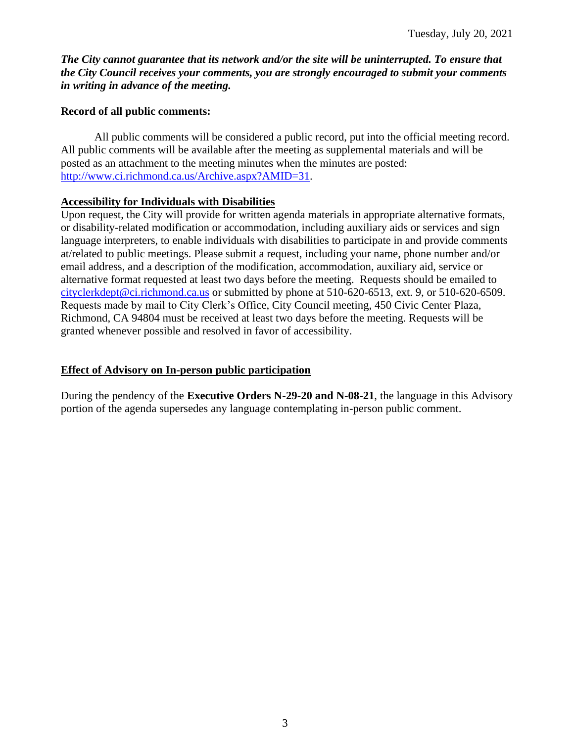*The City cannot guarantee that its network and/or the site will be uninterrupted. To ensure that the City Council receives your comments, you are strongly encouraged to submit your comments in writing in advance of the meeting.* 

#### **Record of all public comments:**

All public comments will be considered a public record, put into the official meeting record. All public comments will be available after the meeting as supplemental materials and will be posted as an attachment to the meeting minutes when the minutes are posted: [http://www.ci.richmond.ca.us/Archive.aspx?AMID=31.](http://www.ci.richmond.ca.us/Archive.aspx?AMID=31)

#### **Accessibility for Individuals with Disabilities**

Upon request, the City will provide for written agenda materials in appropriate alternative formats, or disability-related modification or accommodation, including auxiliary aids or services and sign language interpreters, to enable individuals with disabilities to participate in and provide comments at/related to public meetings. Please submit a request, including your name, phone number and/or email address, and a description of the modification, accommodation, auxiliary aid, service or alternative format requested at least two days before the meeting. Requests should be emailed to [cityclerkdept@ci.richmond.ca.us](mailto:cityclerkdept@ci.richmond.ca.us) or submitted by phone at 510-620-6513, ext. 9, or 510-620-6509. Requests made by mail to City Clerk's Office, City Council meeting, 450 Civic Center Plaza, Richmond, CA 94804 must be received at least two days before the meeting. Requests will be granted whenever possible and resolved in favor of accessibility.

#### **Effect of Advisory on In-person public participation**

During the pendency of the **Executive Orders N-29-20 and N-08-21**, the language in this Advisory portion of the agenda supersedes any language contemplating in-person public comment.